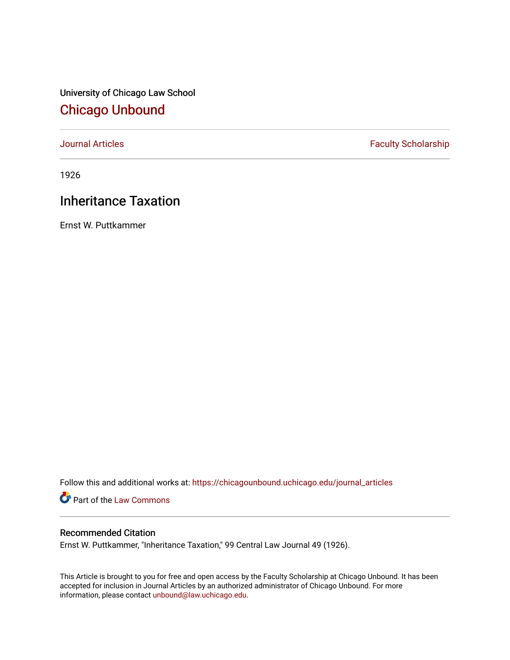University of Chicago Law School [Chicago Unbound](https://chicagounbound.uchicago.edu/)

[Journal Articles](https://chicagounbound.uchicago.edu/journal_articles) **Faculty Scholarship Faculty Scholarship** 

1926

## Inheritance Taxation

Ernst W. Puttkammer

Follow this and additional works at: [https://chicagounbound.uchicago.edu/journal\\_articles](https://chicagounbound.uchicago.edu/journal_articles?utm_source=chicagounbound.uchicago.edu%2Fjournal_articles%2F9171&utm_medium=PDF&utm_campaign=PDFCoverPages) 

Part of the [Law Commons](http://network.bepress.com/hgg/discipline/578?utm_source=chicagounbound.uchicago.edu%2Fjournal_articles%2F9171&utm_medium=PDF&utm_campaign=PDFCoverPages)

## Recommended Citation

Ernst W. Puttkammer, "Inheritance Taxation," 99 Central Law Journal 49 (1926).

This Article is brought to you for free and open access by the Faculty Scholarship at Chicago Unbound. It has been accepted for inclusion in Journal Articles by an authorized administrator of Chicago Unbound. For more information, please contact [unbound@law.uchicago.edu](mailto:unbound@law.uchicago.edu).